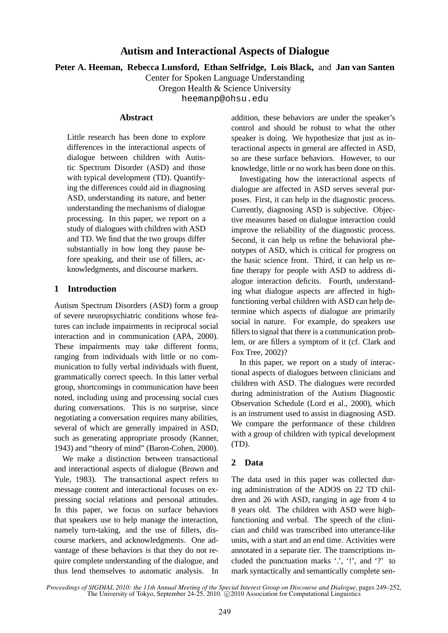# **Autism and Interactional Aspects of Dialogue**

**Peter A. Heeman, Rebecca Lunsford, Ethan Selfridge, Lois Black,** and **Jan van Santen**

Center for Spoken Language Understanding

Oregon Health & Science University

heemanp@ohsu.edu

#### **Abstract**

Little research has been done to explore differences in the interactional aspects of dialogue between children with Autistic Spectrum Disorder (ASD) and those with typical development (TD). Quantifying the differences could aid in diagnosing ASD, understanding its nature, and better understanding the mechanisms of dialogue processing. In this paper, we report on a study of dialogues with children with ASD and TD. We find that the two groups differ substantially in how long they pause before speaking, and their use of fillers, acknowledgments, and discourse markers.

## **1 Introduction**

Autism Spectrum Disorders (ASD) form a group of severe neuropsychiatric conditions whose features can include impairments in reciprocal social interaction and in communication (APA, 2000). These impairments may take different forms, ranging from individuals with little or no communication to fully verbal individuals with fluent, grammatically correct speech. In this latter verbal group, shortcomings in communication have been noted, including using and processing social cues during conversations. This is no surprise, since negotiating a conversation requires many abilities, several of which are generally impaired in ASD, such as generating appropriate prosody (Kanner, 1943) and "theory of mind" (Baron-Cohen, 2000).

We make a distinction between transactional and interactional aspects of dialogue (Brown and Yule, 1983). The transactional aspect refers to message content and interactional focuses on expressing social relations and personal attitudes. In this paper, we focus on surface behaviors that speakers use to help manage the interaction, namely turn-taking, and the use of fillers, discourse markers, and acknowledgments. One advantage of these behaviors is that they do not require complete understanding of the dialogue, and thus lend themselves to automatic analysis. In addition, these behaviors are under the speaker's control and should be robust to what the other speaker is doing. We hypothesize that just as interactional aspects in general are affected in ASD, so are these surface behaviors. However, to our knowledge, little or no work has been done on this.

Investigating how the interactional aspects of dialogue are affected in ASD serves several purposes. First, it can help in the diagnostic process. Currently, diagnosing ASD is subjective. Objective measures based on dialogue interaction could improve the reliability of the diagnostic process. Second, it can help us refine the behavioral phenotypes of ASD, which is critical for progress on the basic science front. Third, it can help us refine therapy for people with ASD to address dialogue interaction deficits. Fourth, understanding what dialogue aspects are affected in highfunctioning verbal children with ASD can help determine which aspects of dialogue are primarily social in nature. For example, do speakers use fillers to signal that there is a communication problem, or are fillers a symptom of it (cf. Clark and Fox Tree, 2002)?

In this paper, we report on a study of interactional aspects of dialogues between clinicians and children with ASD. The dialogues were recorded during administration of the Autism Diagnostic Observation Schedule (Lord et al., 2000), which is an instrument used to assist in diagnosing ASD. We compare the performance of these children with a group of children with typical development (TD).

## **2 Data**

The data used in this paper was collected during administration of the ADOS on 22 TD children and 26 with ASD, ranging in age from 4 to 8 years old. The children with ASD were highfunctioning and verbal. The speech of the clinician and child was transcribed into utterance-like units, with a start and an end time. Activities were annotated in a separate tier. The transcriptions included the punctuation marks  $\cdot$ ,  $\cdot$ !', and  $\cdot$ ?' to mark syntactically and semantically complete sen-

*Proceedings of SIGDIAL 2010: the 11th Annual Meeting of the Special Interest Group on Discourse and Dialogue*, pages 249–252, The University of Tokyo, September 24-25, 2010.  $\odot$  2010 Association for Computational Linguistics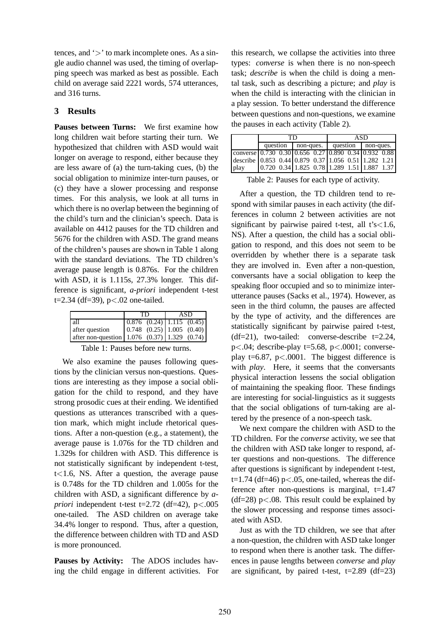tences, and  $\geq$  to mark incomplete ones. As a single audio channel was used, the timing of overlapping speech was marked as best as possible. Each child on average said 2221 words, 574 utterances, and 316 turns.

## **3 Results**

**Pauses between Turns:** We first examine how long children wait before starting their turn. We hypothesized that children with ASD would wait longer on average to respond, either because they are less aware of (a) the turn-taking cues, (b) the social obligation to minimize inter-turn pauses, or (c) they have a slower processing and response times. For this analysis, we look at all turns in which there is no overlap between the beginning of the child's turn and the clinician's speech. Data is available on 4412 pauses for the TD children and 5676 for the children with ASD. The grand means of the children's pauses are shown in Table 1 along with the standard deviations. The TD children's average pause length is 0.876s. For the children with ASD, it is 1.115s, 27.3% longer. This difference is significant, *a-priori* independent t-test t=2.34 (df=39), p<.02 one-tailed.

|                                                      | TD | ASD |                                                     |  |
|------------------------------------------------------|----|-----|-----------------------------------------------------|--|
| l all                                                |    |     | $\vert 0.876 \, (0.24) \vert 1.115 \, (0.45) \vert$ |  |
| after question                                       |    |     | $\vert 0.748 \, (0.25) \vert 1.005 \, (0.40) \vert$ |  |
| after non-question   1.076 $(0.37)$   1.329 $(0.74)$ |    |     |                                                     |  |

Table 1: Pauses before new turns.

We also examine the pauses following questions by the clinician versus non-questions. Questions are interesting as they impose a social obligation for the child to respond, and they have strong prosodic cues at their ending. We identified questions as utterances transcribed with a question mark, which might include rhetorical questions. After a non-question (e.g., a statement), the average pause is 1.076s for the TD children and 1.329s for children with ASD. This difference is not statistically significant by independent t-test, t<1.6, NS. After a question, the average pause is 0.748s for the TD children and 1.005s for the children with ASD, a significant difference by *apriori* independent t-test t=2.72 (df=42),  $p < .005$ one-tailed. The ASD children on average take 34.4% longer to respond. Thus, after a question, the difference between children with TD and ASD is more pronounced.

**Pauses by Activity:** The ADOS includes having the child engage in different activities. For this research, we collapse the activities into three types: *converse* is when there is no non-speech task; *describe* is when the child is doing a mental task, such as describing a picture; and *play* is when the child is interacting with the clinician in a play session. To better understand the difference between questions and non-questions, we examine the pauses in each activity (Table 2).

|                                                                                                    | ГD |                       |  | ASD      |  |           |                                                                               |  |
|----------------------------------------------------------------------------------------------------|----|-----------------------|--|----------|--|-----------|-------------------------------------------------------------------------------|--|
|                                                                                                    |    | question<br>non-ques. |  | question |  | non-ques. |                                                                               |  |
| converse $(0.730 \t0.30 \t0.656 \t0.27 \t0.890 \t0.34 \t0.932 \t0.88)$                             |    |                       |  |          |  |           |                                                                               |  |
| describe $\begin{bmatrix} 0.853 & 0.44 & 0.879 & 0.37 & 1.056 & 0.51 & 1.282 & 1.21 \end{bmatrix}$ |    |                       |  |          |  |           |                                                                               |  |
| play                                                                                               |    |                       |  |          |  |           | $\begin{bmatrix} 0.720 & 0.34 \end{bmatrix}$ 1.825 0.78 1.289 1.51 1.887 1.37 |  |

Table 2: Pauses for each type of activity.

After a question, the TD children tend to respond with similar pauses in each activity (the differences in column 2 between activities are not significant by pairwise paired t-test, all  $t's < 1.6$ , NS). After a question, the child has a social obligation to respond, and this does not seem to be overridden by whether there is a separate task they are involved in. Even after a non-question, conversants have a social obligation to keep the speaking floor occupied and so to minimize interutterance pauses (Sacks et al., 1974). However, as seen in the third column, the pauses are affected by the type of activity, and the differences are statistically significant by pairwise paired t-test,  $(df=21)$ , two-tailed: converse-describe  $t=2.24$ ,  $p<.04$ ; describe-play t=5.68,  $p<.0001$ ; converseplay t=6.87,  $p < .0001$ . The biggest difference is with *play*. Here, it seems that the conversants physical interaction lessens the social obligation of maintaining the speaking floor. These findings are interesting for social-linguistics as it suggests that the social obligations of turn-taking are altered by the presence of a non-speech task.

We next compare the children with ASD to the TD children. For the *converse* activity, we see that the children with ASD take longer to respond, after questions and non-questions. The difference after questions is significant by independent t-test, t=1.74 (df=46)  $p<0.05$ , one-tailed, whereas the difference after non-questions is marginal,  $t=1.47$ (df=28)  $p<0.08$ . This result could be explained by the slower processing and response times associated with ASD.

Just as with the TD children, we see that after a non-question, the children with ASD take longer to respond when there is another task. The differences in pause lengths between *converse* and *play* are significant, by paired t-test,  $t=2.89$  (df=23)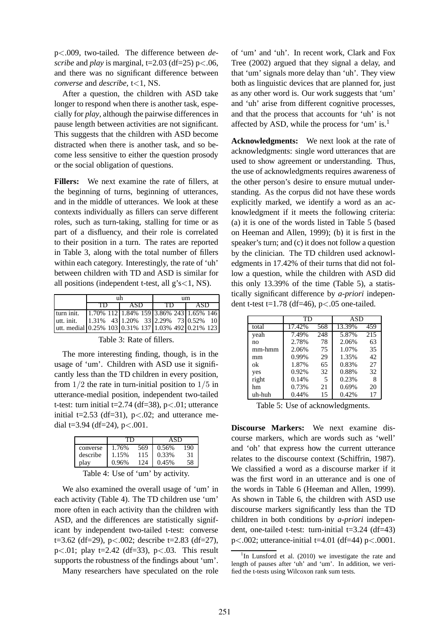p<.009, two-tailed. The difference between *describe* and *play* is marginal,  $t=2.03$  (df=25) p<.06, and there was no significant difference between *converse* and *describe*, t<1, NS.

After a question, the children with ASD take longer to respond when there is another task, especially for *play*, although the pairwise differences in pause length between activities are not significant. This suggests that the children with ASD become distracted when there is another task, and so become less sensitive to either the question prosody or the social obligation of questions.

**Fillers:** We next examine the rate of fillers, at the beginning of turns, beginning of utterances, and in the middle of utterances. We look at these contexts individually as fillers can serve different roles, such as turn-taking, stalling for time or as part of a disfluency, and their role is correlated to their position in a turn. The rates are reported in Table 3, along with the total number of fillers within each category. Interestingly, the rate of 'uh' between children with TD and ASD is similar for all positions (independent t-test, all  $g's < 1$ , NS).

|                                                     |    | πh | um  |  |     |  |                                                         |  |
|-----------------------------------------------------|----|----|-----|--|-----|--|---------------------------------------------------------|--|
|                                                     | TD |    | ASD |  | TD. |  | ASD                                                     |  |
| turn init.                                          |    |    |     |  |     |  | $\left 1.70\% 112\right 1.84\% 159$ 3.86% 243 1.65% 146 |  |
| utt. init.                                          |    |    |     |  |     |  |                                                         |  |
| utt. medial 0.25% 103 0.31% 137 1.03% 492 0.21% 123 |    |    |     |  |     |  |                                                         |  |

Table 3: Rate of fillers.

The more interesting finding, though, is in the usage of 'um'. Children with ASD use it significantly less than the TD children in every position, from  $1/2$  the rate in turn-initial position to  $1/5$  in utterance-medial position, independent two-tailed t-test: turn initial t=2.74 (df=38),  $p < .01$ ; utterance initial t=2.53 (df=31),  $p < .02$ ; and utterance medial t=3.94 (df=24),  $p < .001$ .

| converse | 1.76% | 569 | 0.56% | 190 |
|----------|-------|-----|-------|-----|
| describe | 1.15% | 115 | 0.33% | 31  |
| plav     | 0.96% | 124 | 0.45% | 58  |

Table 4: Use of 'um' by activity.

We also examined the overall usage of 'um' in each activity (Table 4). The TD children use 'um' more often in each activity than the children with ASD, and the differences are statistically significant by independent two-tailed t-test: converse t=3.62 (df=29),  $p<.002$ ; describe t=2.83 (df=27), p $\lt$ .01; play t=2.42 (df=33), p $\lt$ .03. This result supports the robustness of the findings about 'um'.

Many researchers have speculated on the role

of 'um' and 'uh'. In recent work, Clark and Fox Tree (2002) argued that they signal a delay, and that 'um' signals more delay than 'uh'. They view both as linguistic devices that are planned for, just as any other word is. Our work suggests that 'um' and 'uh' arise from different cognitive processes, and that the process that accounts for 'uh' is not affected by ASD, while the process for 'um' is.<sup>1</sup>

**Acknowledgments:** We next look at the rate of acknowledgments: single word utterances that are used to show agreement or understanding. Thus, the use of acknowledgments requires awareness of the other person's desire to ensure mutual understanding. As the corpus did not have these words explicitly marked, we identify a word as an acknowledgment if it meets the following criteria: (a) it is one of the words listed in Table 5 (based on Heeman and Allen, 1999); (b) it is first in the speaker's turn; and (c) it does not follow a question by the clinician. The TD children used acknowledgments in 17.42% of their turns that did not follow a question, while the children with ASD did this only 13.39% of the time (Table 5), a statistically significant difference by *a-priori* independent t-test t=1.78 (df=46),  $p < .05$  one-tailed.

|        | TD.    |     | <b>ASD</b> |     |  |
|--------|--------|-----|------------|-----|--|
| total  | 17.42% | 568 | 13.39%     | 459 |  |
| yeah   | 7.49%  | 248 | 5.87%      | 215 |  |
| no     | 2.78%  | 78  | 2.06%      | 63  |  |
| mm-hmm | 2.06%  | 75  | 1.07%      | 35  |  |
| mm     | 0.99%  | 29  | 1.35%      | 42  |  |
| ok     | 1.87%  | 65  | 0.83%      | 27  |  |
| yes    | 0.92%  | 32  | 0.88%      | 32  |  |
| right  | 0.14%  | 5   | 0.23%      | 8   |  |
| hm     | 0.73%  | 21  | 0.69%      | 20  |  |
| uh-huh | 0.44%  | 15  | 0.42%      | 17  |  |

Table 5: Use of acknowledgments.

**Discourse Markers:** We next examine discourse markers, which are words such as 'well' and 'oh' that express how the current utterance relates to the discourse context (Schiffrin, 1987). We classified a word as a discourse marker if it was the first word in an utterance and is one of the words in Table 6 (Heeman and Allen, 1999). As shown in Table 6, the children with ASD use discourse markers significantly less than the TD children in both conditions by *a-priori* independent, one-tailed t-test: turn-initial  $t=3.24$  (df=43)  $p < .002$ ; utterance-initial t=4.01 (df=44)  $p < .0001$ .

<sup>&</sup>lt;sup>1</sup>In Lunsford et al. (2010) we investigate the rate and length of pauses after 'uh' and 'um'. In addition, we verified the t-tests using Wilcoxon rank sum tests.